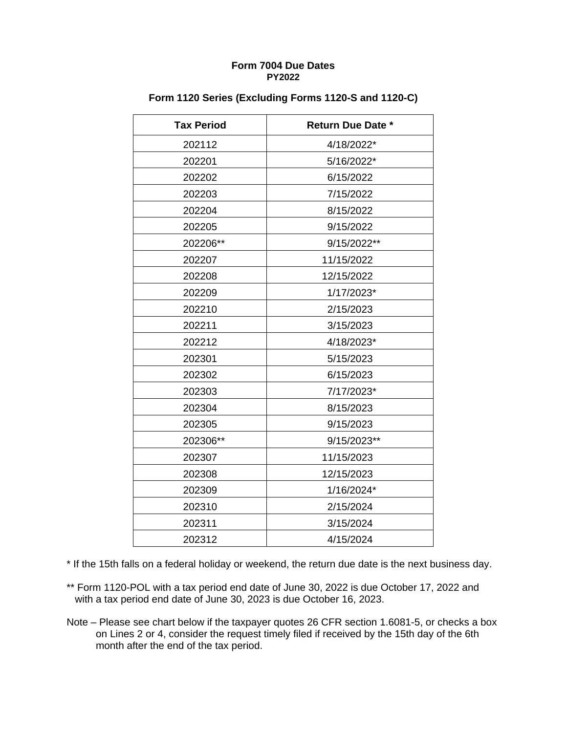| <b>Tax Period</b> | <b>Return Due Date *</b> |
|-------------------|--------------------------|
| 202112            | 4/18/2022*               |
| 202201            | 5/16/2022*               |
| 202202            | 6/15/2022                |
| 202203            | 7/15/2022                |
| 202204            | 8/15/2022                |
| 202205            | 9/15/2022                |
| 202206**          | 9/15/2022**              |
| 202207            | 11/15/2022               |
| 202208            | 12/15/2022               |
| 202209            | 1/17/2023*               |
| 202210            | 2/15/2023                |
| 202211            | 3/15/2023                |
| 202212            | 4/18/2023*               |
| 202301            | 5/15/2023                |
| 202302            | 6/15/2023                |
| 202303            | 7/17/2023*               |
| 202304            | 8/15/2023                |
| 202305            | 9/15/2023                |
| 202306**          | 9/15/2023**              |
| 202307            | 11/15/2023               |
| 202308            | 12/15/2023               |
| 202309            | 1/16/2024*               |
| 202310            | 2/15/2024                |
| 202311            | 3/15/2024                |
| 202312            | 4/15/2024                |

### **Form 1120 Series (Excluding Forms 1120-S and 1120-C)**

\* If the 15th falls on a federal holiday or weekend, the return due date is the next business day.

- \*\* Form 1120-POL with a tax period end date of June 30, 2022 is due October 17, 2022 and with a tax period end date of June 30, 2023 is due October 16, 2023.
- Note Please see chart below if the taxpayer quotes 26 CFR section 1.6081-5, or checks a box on Lines 2 or 4, consider the request timely filed if received by the 15th day of the 6th month after the end of the tax period.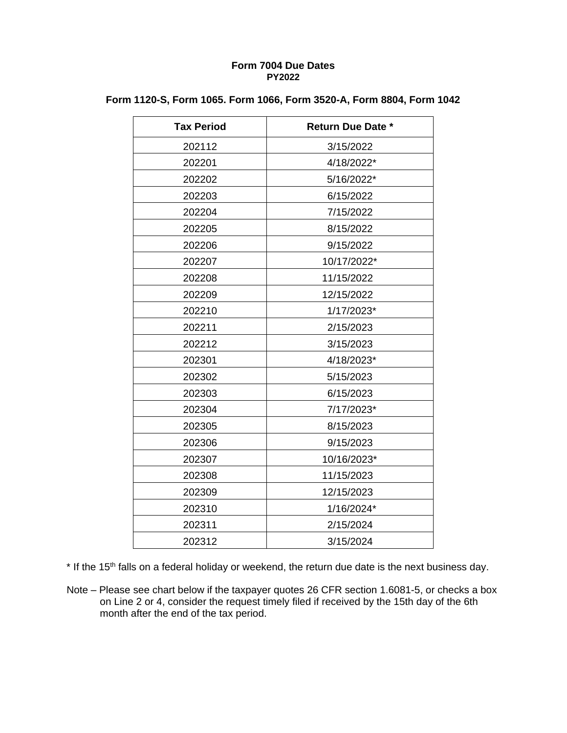| <b>Tax Period</b> | <b>Return Due Date *</b> |
|-------------------|--------------------------|
| 202112            | 3/15/2022                |
| 202201            | 4/18/2022*               |
| 202202            | 5/16/2022*               |
| 202203            | 6/15/2022                |
| 202204            | 7/15/2022                |
| 202205            | 8/15/2022                |
| 202206            | 9/15/2022                |
| 202207            | 10/17/2022*              |
| 202208            | 11/15/2022               |
| 202209            | 12/15/2022               |
| 202210            | 1/17/2023*               |
| 202211            | 2/15/2023                |
| 202212            | 3/15/2023                |
| 202301            | 4/18/2023*               |
| 202302            | 5/15/2023                |
| 202303            | 6/15/2023                |
| 202304            | 7/17/2023*               |
| 202305            | 8/15/2023                |
| 202306            | 9/15/2023                |
| 202307            | 10/16/2023*              |
| 202308            | 11/15/2023               |
| 202309            | 12/15/2023               |
| 202310            | 1/16/2024*               |
| 202311            | 2/15/2024                |
| 202312            | 3/15/2024                |

## **Form 1120-S, Form 1065. Form 1066, Form 3520-A, Form 8804, Form 1042**

\* If the 15<sup>th</sup> falls on a federal holiday or weekend, the return due date is the next business day.

Note – Please see chart below if the taxpayer quotes 26 CFR section 1.6081-5, or checks a box on Line 2 or 4, consider the request timely filed if received by the 15th day of the 6th month after the end of the tax period.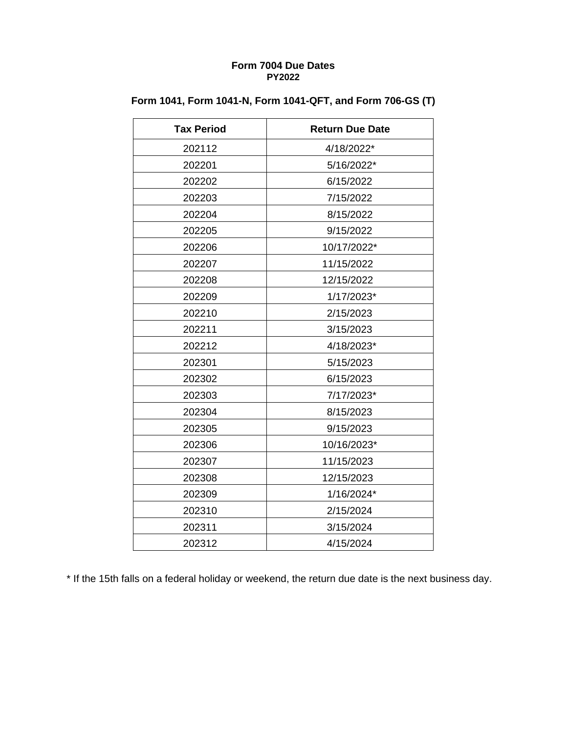| <b>Tax Period</b> | <b>Return Due Date</b> |
|-------------------|------------------------|
| 202112            | 4/18/2022*             |
| 202201            | 5/16/2022*             |
| 202202            | 6/15/2022              |
| 202203            | 7/15/2022              |
| 202204            | 8/15/2022              |
| 202205            | 9/15/2022              |
| 202206            | 10/17/2022*            |
| 202207            | 11/15/2022             |
| 202208            | 12/15/2022             |
| 202209            | 1/17/2023*             |
| 202210            | 2/15/2023              |
| 202211            | 3/15/2023              |
| 202212            | 4/18/2023*             |
| 202301            | 5/15/2023              |
| 202302            | 6/15/2023              |
| 202303            | 7/17/2023*             |
| 202304            | 8/15/2023              |
| 202305            | 9/15/2023              |
| 202306            | 10/16/2023*            |
| 202307            | 11/15/2023             |
| 202308            | 12/15/2023             |
| 202309            | 1/16/2024*             |
| 202310            | 2/15/2024              |
| 202311            | 3/15/2024              |
| 202312            | 4/15/2024              |

# **Form 1041, Form 1041-N, Form 1041-QFT, and Form 706-GS (T)**

\* If the 15th falls on a federal holiday or weekend, the return due date is the next business day.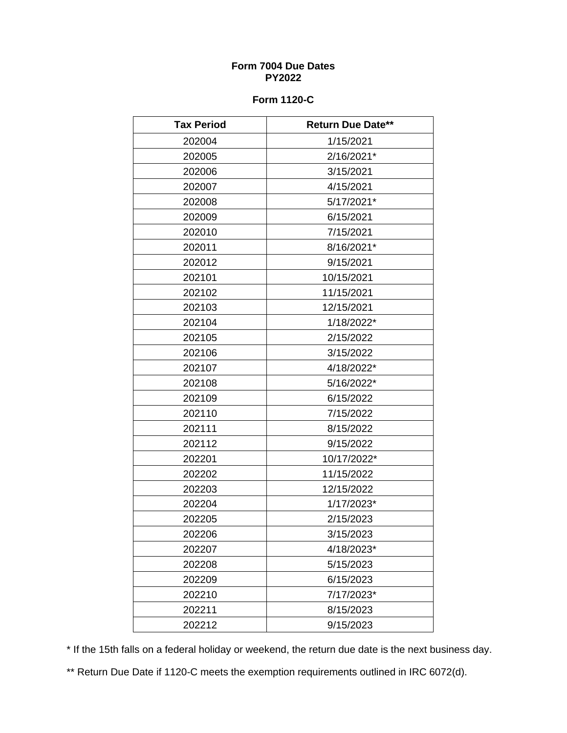## **Form 1120-C**

| <b>Tax Period</b> | <b>Return Due Date**</b> |
|-------------------|--------------------------|
| 202004            | 1/15/2021                |
| 202005            | 2/16/2021*               |
| 202006            | 3/15/2021                |
| 202007            | 4/15/2021                |
| 202008            | 5/17/2021*               |
| 202009            | 6/15/2021                |
| 202010            | 7/15/2021                |
| 202011            | 8/16/2021*               |
| 202012            | 9/15/2021                |
| 202101            | 10/15/2021               |
| 202102            | 11/15/2021               |
| 202103            | 12/15/2021               |
| 202104            | 1/18/2022*               |
| 202105            | 2/15/2022                |
| 202106            | 3/15/2022                |
| 202107            | 4/18/2022*               |
| 202108            | 5/16/2022*               |
| 202109            | 6/15/2022                |
| 202110            | 7/15/2022                |
| 202111            | 8/15/2022                |
| 202112            | 9/15/2022                |
| 202201            | 10/17/2022*              |
| 202202            | 11/15/2022               |
| 202203            | 12/15/2022               |
| 202204            | 1/17/2023*               |
| 202205            | 2/15/2023                |
| 202206            | 3/15/2023                |
| 202207            | 4/18/2023*               |
| 202208            | 5/15/2023                |
| 202209            | 6/15/2023                |
| 202210            | 7/17/2023*               |
| 202211            | 8/15/2023                |
| 202212            | 9/15/2023                |

\* If the 15th falls on a federal holiday or weekend, the return due date is the next business day.

\*\* Return Due Date if 1120-C meets the exemption requirements outlined in IRC 6072(d).